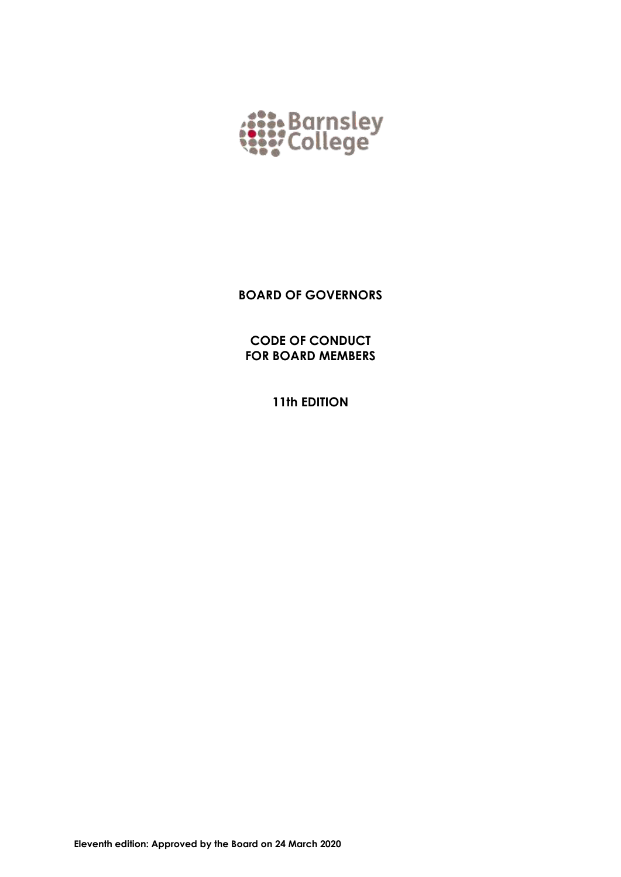

**BOARD OF GOVERNORS**

**CODE OF CONDUCT FOR BOARD MEMBERS**

**11th EDITION**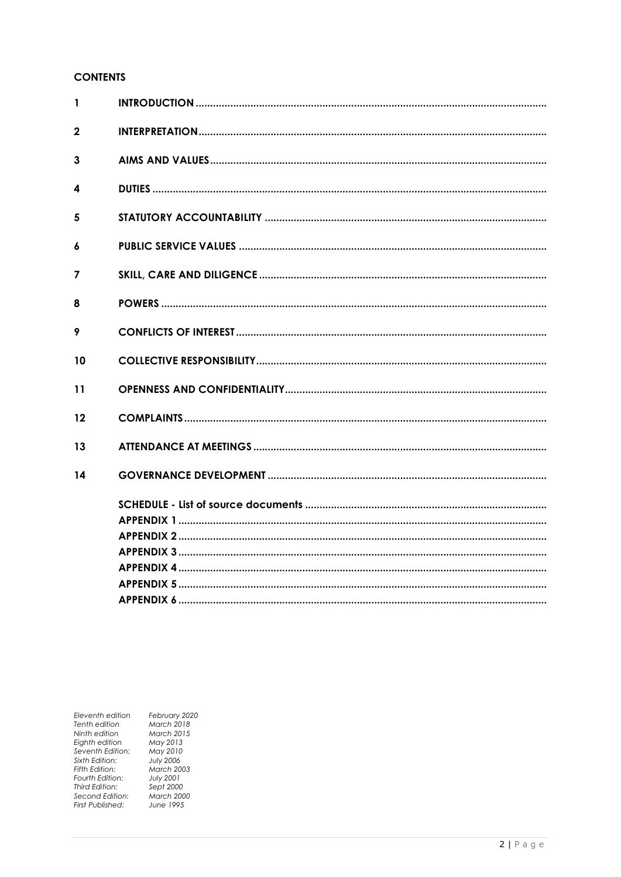# **CONTENTS**

| 1           |  |
|-------------|--|
| $\mathbf 2$ |  |
| 3           |  |
| 4           |  |
| 5           |  |
| 6           |  |
| 7           |  |
| 8           |  |
| 9           |  |
| 10          |  |
| 11          |  |
| 12          |  |
| 13          |  |
| 14          |  |
|             |  |
|             |  |
|             |  |
|             |  |
|             |  |
|             |  |

Eleventh edition<br>Tenth edition Ninth edition<br>Eighth edition Seventh Edition:<br>Sixth Edition: Fifth Edition:<br>Fourth Edition:<br>Third Edition: rning Lamon.<br>Second Edition:<br>First Published:

February 2020<br>March 2018 March 2018<br>May 2013<br>May 2010<br>May 2010<br>March 2003<br>July 2001<br>Sept 2000<br>March 2000<br>June 1995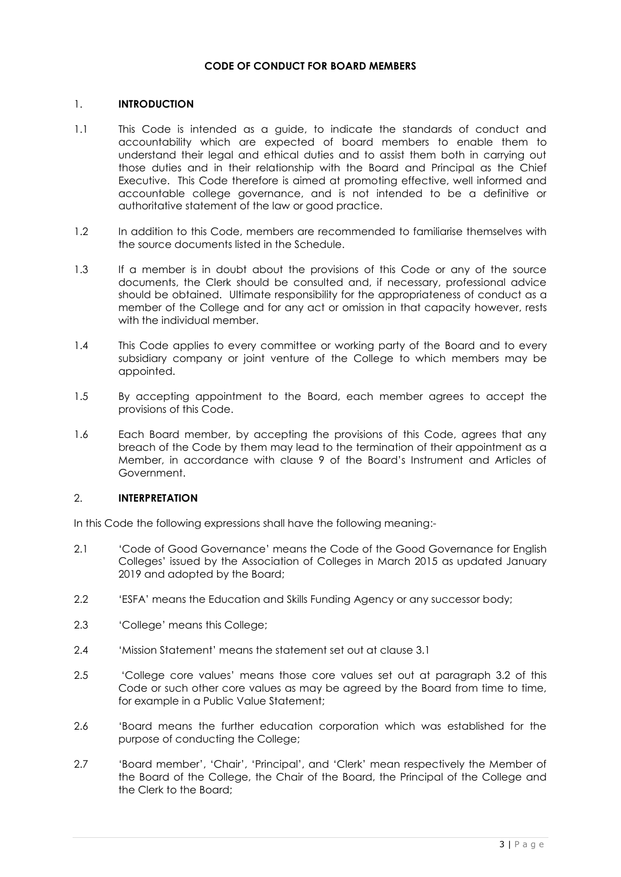## **CODE OF CONDUCT FOR BOARD MEMBERS**

## 1. **INTRODUCTION**

- 1.1 This Code is intended as a guide, to indicate the standards of conduct and accountability which are expected of board members to enable them to understand their legal and ethical duties and to assist them both in carrying out those duties and in their relationship with the Board and Principal as the Chief Executive. This Code therefore is aimed at promoting effective, well informed and accountable college governance, and is not intended to be a definitive or authoritative statement of the law or good practice.
- 1.2 In addition to this Code, members are recommended to familiarise themselves with the source documents listed in the Schedule.
- 1.3 If a member is in doubt about the provisions of this Code or any of the source documents, the Clerk should be consulted and, if necessary, professional advice should be obtained. Ultimate responsibility for the appropriateness of conduct as a member of the College and for any act or omission in that capacity however, rests with the individual member.
- 1.4 This Code applies to every committee or working party of the Board and to every subsidiary company or joint venture of the College to which members may be appointed.
- 1.5 By accepting appointment to the Board, each member agrees to accept the provisions of this Code.
- 1.6 Each Board member, by accepting the provisions of this Code, agrees that any breach of the Code by them may lead to the termination of their appointment as a Member, in accordance with clause 9 of the Board's Instrument and Articles of Government.

## 2. **INTERPRETATION**

In this Code the following expressions shall have the following meaning:-

- 2.1 'Code of Good Governance' means the Code of the Good Governance for English Colleges' issued by the Association of Colleges in March 2015 as updated January 2019 and adopted by the Board;
- 2.2 'ESFA' means the Education and Skills Funding Agency or any successor body;
- 2.3 'College' means this College;
- 2.4 'Mission Statement' means the statement set out at clause 3.1
- 2.5 'College core values' means those core values set out at paragraph 3.2 of this Code or such other core values as may be agreed by the Board from time to time, for example in a Public Value Statement;
- 2.6 'Board means the further education corporation which was established for the purpose of conducting the College;
- 2.7 'Board member', 'Chair', 'Principal', and 'Clerk' mean respectively the Member of the Board of the College, the Chair of the Board, the Principal of the College and the Clerk to the Board;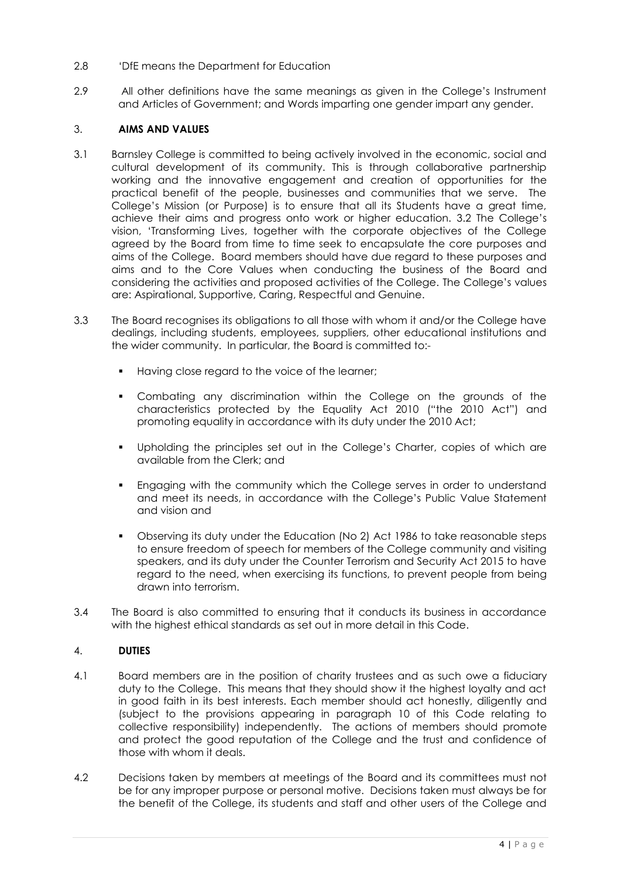- 2.8 'DfE means the Department for Education
- 2.9 All other definitions have the same meanings as given in the College's Instrument and Articles of Government; and Words imparting one gender impart any gender.

## 3. **AIMS AND VALUES**

- 3.1 Barnsley College is committed to being actively involved in the economic, social and cultural development of its community. This is through collaborative partnership working and the innovative engagement and creation of opportunities for the practical benefit of the people, businesses and communities that we serve. The College's Mission (or Purpose) is to ensure that all its Students have a great time, achieve their aims and progress onto work or higher education. 3.2 The College's vision, 'Transforming Lives, together with the corporate objectives of the College agreed by the Board from time to time seek to encapsulate the core purposes and aims of the College. Board members should have due regard to these purposes and aims and to the Core Values when conducting the business of the Board and considering the activities and proposed activities of the College. The College's values are: Aspirational, Supportive, Caring, Respectful and Genuine.
- 3.3 The Board recognises its obligations to all those with whom it and/or the College have dealings, including students, employees, suppliers, other educational institutions and the wider community. In particular, the Board is committed to:-
	- Having close regard to the voice of the learner;
	- Combating any discrimination within the College on the grounds of the characteristics protected by the Equality Act 2010 ("the 2010 Act") and promoting equality in accordance with its duty under the 2010 Act;
	- Upholding the principles set out in the College's Charter, copies of which are available from the Clerk; and
	- Engaging with the community which the College serves in order to understand and meet its needs, in accordance with the College's Public Value Statement and vision and
	- Observing its duty under the Education (No 2) Act 1986 to take reasonable steps to ensure freedom of speech for members of the College community and visiting speakers, and its duty under the Counter Terrorism and Security Act 2015 to have regard to the need, when exercising its functions, to prevent people from being drawn into terrorism.
- 3.4 The Board is also committed to ensuring that it conducts its business in accordance with the highest ethical standards as set out in more detail in this Code.

## 4. **DUTIES**

- 4.1 Board members are in the position of charity trustees and as such owe a fiduciary duty to the College. This means that they should show it the highest loyalty and act in good faith in its best interests. Each member should act honestly, diligently and (subject to the provisions appearing in paragraph 10 of this Code relating to collective responsibility) independently. The actions of members should promote and protect the good reputation of the College and the trust and confidence of those with whom it deals.
- 4.2 Decisions taken by members at meetings of the Board and its committees must not be for any improper purpose or personal motive. Decisions taken must always be for the benefit of the College, its students and staff and other users of the College and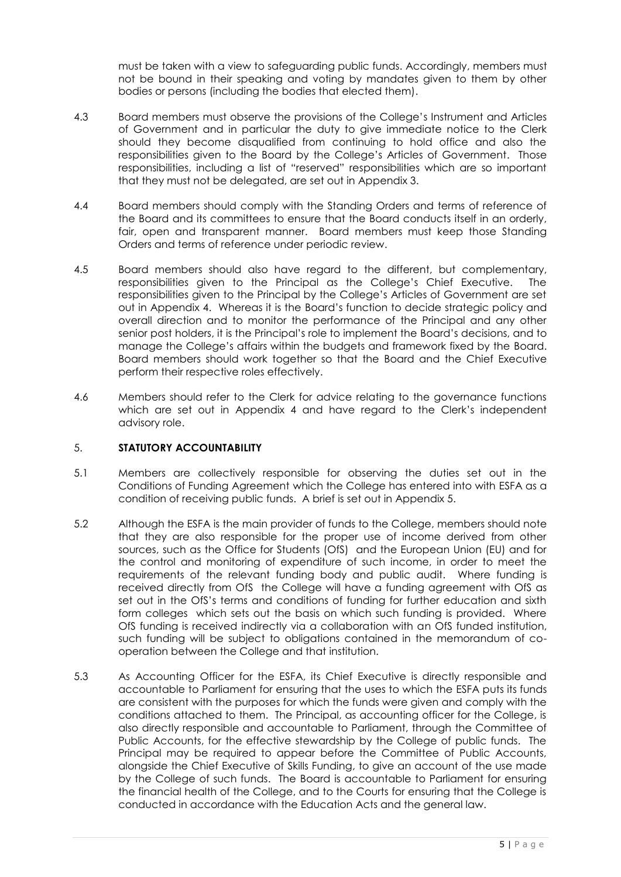must be taken with a view to safeguarding public funds. Accordingly, members must not be bound in their speaking and voting by mandates given to them by other bodies or persons (including the bodies that elected them).

- 4.3 Board members must observe the provisions of the College's Instrument and Articles of Government and in particular the duty to give immediate notice to the Clerk should they become disqualified from continuing to hold office and also the responsibilities given to the Board by the College's Articles of Government. Those responsibilities, including a list of "reserved" responsibilities which are so important that they must not be delegated, are set out in Appendix 3.
- 4.4 Board members should comply with the Standing Orders and terms of reference of the Board and its committees to ensure that the Board conducts itself in an orderly, fair, open and transparent manner. Board members must keep those Standing Orders and terms of reference under periodic review.
- 4.5 Board members should also have regard to the different, but complementary, responsibilities given to the Principal as the College's Chief Executive. The responsibilities given to the Principal by the College's Articles of Government are set out in Appendix 4. Whereas it is the Board's function to decide strategic policy and overall direction and to monitor the performance of the Principal and any other senior post holders, it is the Principal's role to implement the Board's decisions, and to manage the College's affairs within the budgets and framework fixed by the Board. Board members should work together so that the Board and the Chief Executive perform their respective roles effectively.
- 4.6 Members should refer to the Clerk for advice relating to the governance functions which are set out in Appendix 4 and have regard to the Clerk's independent advisory role.

## 5. **STATUTORY ACCOUNTABILITY**

- 5.1 Members are collectively responsible for observing the duties set out in the Conditions of Funding Agreement which the College has entered into with ESFA as a condition of receiving public funds. A brief is set out in Appendix 5.
- 5.2 Although the ESFA is the main provider of funds to the College, members should note that they are also responsible for the proper use of income derived from other sources, such as the Office for Students (OfS) and the European Union (EU) and for the control and monitoring of expenditure of such income, in order to meet the requirements of the relevant funding body and public audit. Where funding is received directly from OfS the College will have a funding agreement with OfS as set out in the OfS's terms and conditions of funding for further education and sixth form colleges which sets out the basis on which such funding is provided. Where OfS funding is received indirectly via a collaboration with an OfS funded institution, such funding will be subject to obligations contained in the memorandum of cooperation between the College and that institution.
- 5.3 As Accounting Officer for the ESFA, its Chief Executive is directly responsible and accountable to Parliament for ensuring that the uses to which the ESFA puts its funds are consistent with the purposes for which the funds were given and comply with the conditions attached to them. The Principal, as accounting officer for the College, is also directly responsible and accountable to Parliament, through the Committee of Public Accounts, for the effective stewardship by the College of public funds. The Principal may be required to appear before the Committee of Public Accounts, alongside the Chief Executive of Skills Funding, to give an account of the use made by the College of such funds. The Board is accountable to Parliament for ensuring the financial health of the College, and to the Courts for ensuring that the College is conducted in accordance with the Education Acts and the general law.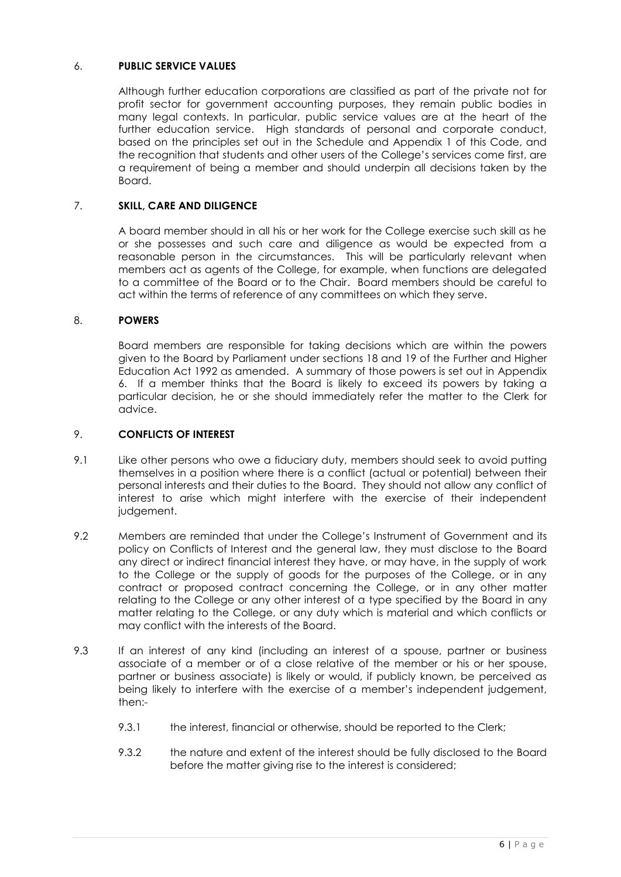## 6. **PUBLIC SERVICE VALUES**

Although further education corporations are classified as part of the private not for profit sector for government accounting purposes, they remain public bodies in many legal contexts. In particular, public service values are at the heart of the further education service. High standards of personal and corporate conduct, based on the principles set out in the Schedule and Appendix 1 of this Code, and the recognition that students and other users of the College's services come first, are a requirement of being a member and should underpin all decisions taken by the Board.

## 7. **SKILL, CARE AND DILIGENCE**

A board member should in all his or her work for the College exercise such skill as he or she possesses and such care and diligence as would be expected from a reasonable person in the circumstances. This will be particularly relevant when members act as agents of the College, for example, when functions are delegated to a committee of the Board or to the Chair. Board members should be careful to act within the terms of reference of any committees on which they serve.

## 8. **POWERS**

Board members are responsible for taking decisions which are within the powers given to the Board by Parliament under sections 18 and 19 of the Further and Higher Education Act 1992 as amended. A summary of those powers is set out in Appendix 6. If a member thinks that the Board is likely to exceed its powers by taking a particular decision, he or she should immediately refer the matter to the Clerk for advice.

## 9. **CONFLICTS OF INTEREST**

- 9.1 Like other persons who owe a fiduciary duty, members should seek to avoid putting themselves in a position where there is a conflict (actual or potential) between their personal interests and their duties to the Board. They should not allow any conflict of interest to arise which might interfere with the exercise of their independent judgement.
- 9.2 Members are reminded that under the College's Instrument of Government and its policy on Conflicts of Interest and the general law, they must disclose to the Board any direct or indirect financial interest they have, or may have, in the supply of work to the College or the supply of goods for the purposes of the College, or in any contract or proposed contract concerning the College, or in any other matter relating to the College or any other interest of a type specified by the Board in any matter relating to the College, or any duty which is material and which conflicts or may conflict with the interests of the Board.
- 9.3 If an interest of any kind (including an interest of a spouse, partner or business associate of a member or of a close relative of the member or his or her spouse, partner or business associate) is likely or would, if publicly known, be perceived as being likely to interfere with the exercise of a member's independent judgement, then:-
	- 9.3.1 the interest, financial or otherwise, should be reported to the Clerk;
	- 9.3.2 the nature and extent of the interest should be fully disclosed to the Board before the matter giving rise to the interest is considered;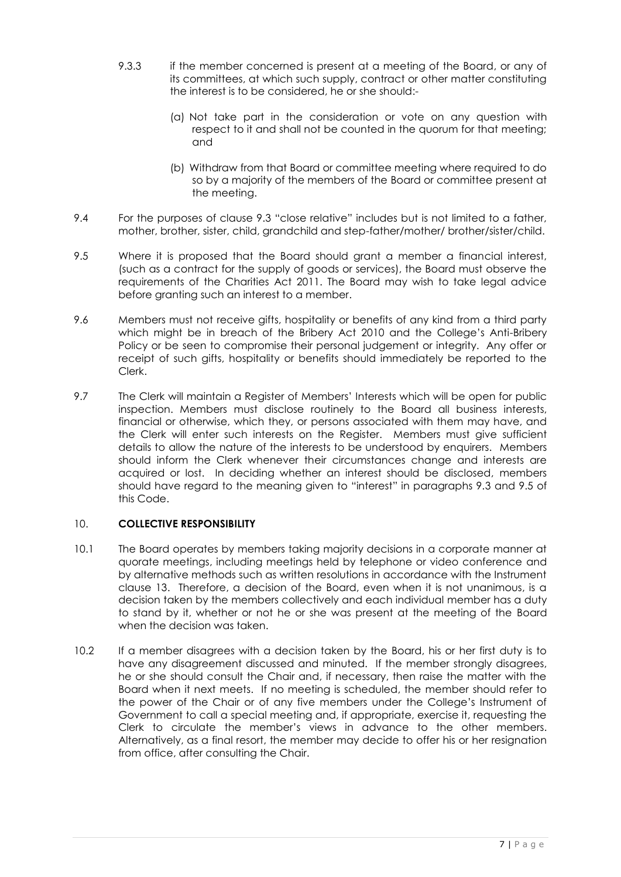- 9.3.3 if the member concerned is present at a meeting of the Board, or any of its committees, at which such supply, contract or other matter constituting the interest is to be considered, he or she should:-
	- (a) Not take part in the consideration or vote on any question with respect to it and shall not be counted in the quorum for that meeting; and
	- (b) Withdraw from that Board or committee meeting where required to do so by a majority of the members of the Board or committee present at the meeting.
- 9.4 For the purposes of clause 9.3 "close relative" includes but is not limited to a father, mother, brother, sister, child, grandchild and step-father/mother/ brother/sister/child.
- 9.5 Where it is proposed that the Board should grant a member a financial interest, (such as a contract for the supply of goods or services), the Board must observe the requirements of the Charities Act 2011. The Board may wish to take legal advice before granting such an interest to a member.
- 9.6 Members must not receive gifts, hospitality or benefits of any kind from a third party which might be in breach of the Bribery Act 2010 and the College's Anti-Bribery Policy or be seen to compromise their personal judgement or integrity. Any offer or receipt of such gifts, hospitality or benefits should immediately be reported to the Clerk.
- 9.7 The Clerk will maintain a Register of Members' Interests which will be open for public inspection. Members must disclose routinely to the Board all business interests, financial or otherwise, which they, or persons associated with them may have, and the Clerk will enter such interests on the Register. Members must give sufficient details to allow the nature of the interests to be understood by enquirers. Members should inform the Clerk whenever their circumstances change and interests are acquired or lost. In deciding whether an interest should be disclosed, members should have regard to the meaning given to "interest" in paragraphs 9.3 and 9.5 of this Code.

## 10. **COLLECTIVE RESPONSIBILITY**

- 10.1 The Board operates by members taking majority decisions in a corporate manner at quorate meetings, including meetings held by telephone or video conference and by alternative methods such as written resolutions in accordance with the Instrument clause 13. Therefore, a decision of the Board, even when it is not unanimous, is a decision taken by the members collectively and each individual member has a duty to stand by it, whether or not he or she was present at the meeting of the Board when the decision was taken.
- 10.2 If a member disagrees with a decision taken by the Board, his or her first duty is to have any disagreement discussed and minuted. If the member stronaly disagrees, he or she should consult the Chair and, if necessary, then raise the matter with the Board when it next meets. If no meeting is scheduled, the member should refer to the power of the Chair or of any five members under the College's Instrument of Government to call a special meeting and, if appropriate, exercise it, requesting the Clerk to circulate the member's views in advance to the other members. Alternatively, as a final resort, the member may decide to offer his or her resignation from office, after consulting the Chair.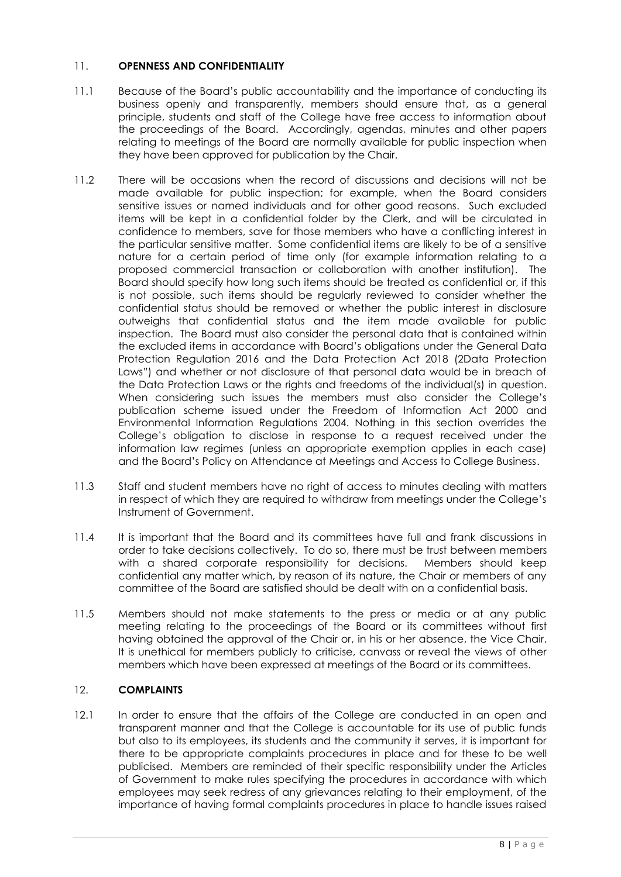## 11. **OPENNESS AND CONFIDENTIALITY**

- 11.1 Because of the Board's public accountability and the importance of conducting its business openly and transparently, members should ensure that, as a general principle, students and staff of the College have free access to information about the proceedings of the Board. Accordingly, agendas, minutes and other papers relating to meetings of the Board are normally available for public inspection when they have been approved for publication by the Chair.
- 11.2 There will be occasions when the record of discussions and decisions will not be made available for public inspection; for example, when the Board considers sensitive issues or named individuals and for other good reasons. Such excluded items will be kept in a confidential folder by the Clerk, and will be circulated in confidence to members, save for those members who have a conflicting interest in the particular sensitive matter. Some confidential items are likely to be of a sensitive nature for a certain period of time only (for example information relating to a proposed commercial transaction or collaboration with another institution). The Board should specify how long such items should be treated as confidential or, if this is not possible, such items should be regularly reviewed to consider whether the confidential status should be removed or whether the public interest in disclosure outweighs that confidential status and the item made available for public inspection. The Board must also consider the personal data that is contained within the excluded items in accordance with Board's obligations under the General Data Protection Regulation 2016 and the Data Protection Act 2018 (2Data Protection Laws") and whether or not disclosure of that personal data would be in breach of the Data Protection Laws or the rights and freedoms of the individual(s) in question. When considering such issues the members must also consider the College's publication scheme issued under the Freedom of Information Act 2000 and Environmental Information Regulations 2004. Nothing in this section overrides the College's obligation to disclose in response to a request received under the information law regimes (unless an appropriate exemption applies in each case) and the Board's Policy on Attendance at Meetings and Access to College Business.
- 11.3 Staff and student members have no right of access to minutes dealing with matters in respect of which they are required to withdraw from meetings under the College's Instrument of Government.
- 11.4 It is important that the Board and its committees have full and frank discussions in order to take decisions collectively. To do so, there must be trust between members with a shared corporate responsibility for decisions. Members should keep confidential any matter which, by reason of its nature, the Chair or members of any committee of the Board are satisfied should be dealt with on a confidential basis.
- 11.5 Members should not make statements to the press or media or at any public meeting relating to the proceedings of the Board or its committees without first having obtained the approval of the Chair or, in his or her absence, the Vice Chair. It is unethical for members publicly to criticise, canvass or reveal the views of other members which have been expressed at meetings of the Board or its committees.

## 12. **COMPLAINTS**

12.1 In order to ensure that the affairs of the College are conducted in an open and transparent manner and that the College is accountable for its use of public funds but also to its employees, its students and the community it serves, it is important for there to be appropriate complaints procedures in place and for these to be well publicised. Members are reminded of their specific responsibility under the Articles of Government to make rules specifying the procedures in accordance with which employees may seek redress of any grievances relating to their employment, of the importance of having formal complaints procedures in place to handle issues raised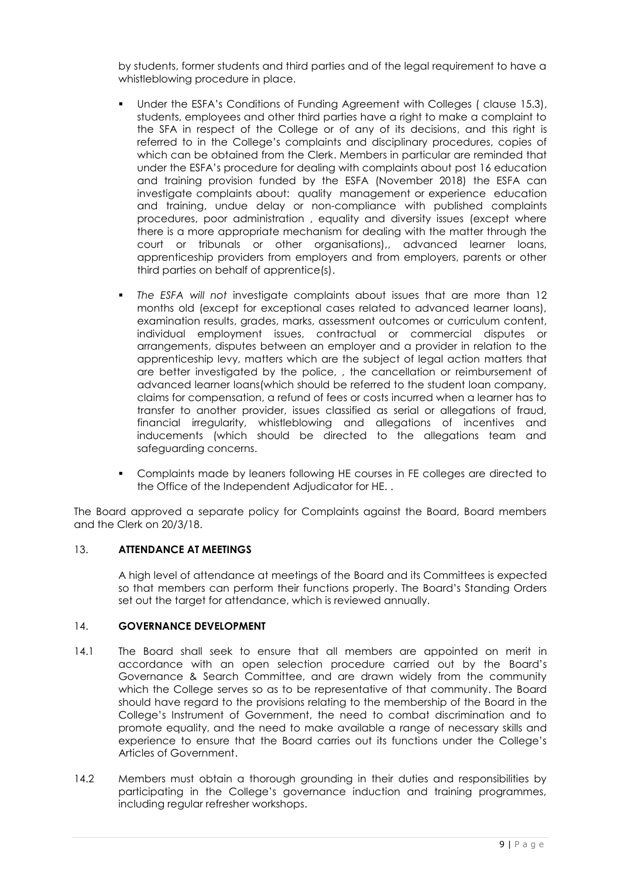by students, former students and third parties and of the legal requirement to have a whistleblowing procedure in place.

- Under the ESFA's Conditions of Funding Agreement with Colleges ( clause 15.3), students, employees and other third parties have a right to make a complaint to the SFA in respect of the College or of any of its decisions, and this right is referred to in the College's complaints and disciplinary procedures, copies of which can be obtained from the Clerk. Members in particular are reminded that under the ESFA's procedure for dealing with complaints about post 16 education and training provision funded by the ESFA (November 2018) the ESFA can investigate complaints about: quality management or experience education and training, undue delay or non-compliance with published complaints procedures, poor administration , equality and diversity issues (except where there is a more appropriate mechanism for dealing with the matter through the court or tribunals or other organisations),, advanced learner loans, apprenticeship providers from employers and from employers, parents or other third parties on behalf of apprentice(s).
- *The ESFA will not* investigate complaints about issues that are more than 12 months old (except for exceptional cases related to advanced learner loans), examination results, grades, marks, assessment outcomes or curriculum content, individual employment issues, contractual or commercial disputes or arrangements, disputes between an employer and a provider in relation to the apprenticeship levy, matters which are the subject of legal action matters that are better investigated by the police, , the cancellation or reimbursement of advanced learner loans(which should be referred to the student loan company, claims for compensation, a refund of fees or costs incurred when a learner has to transfer to another provider, issues classified as serial or allegations of fraud, financial irregularity, whistleblowing and allegations of incentives and inducements (which should be directed to the allegations team and safeguarding concerns.
- Complaints made by leaners following HE courses in FE colleges are directed to the Office of the Independent Adjudicator for HE. .

The Board approved a separate policy for Complaints against the Board, Board members and the Clerk on 20/3/18.

## 13. **ATTENDANCE AT MEETINGS**

A high level of attendance at meetings of the Board and its Committees is expected so that members can perform their functions properly. The Board's Standing Orders set out the target for attendance, which is reviewed annually.

## 14. **GOVERNANCE DEVELOPMENT**

- 14.1 The Board shall seek to ensure that all members are appointed on merit in accordance with an open selection procedure carried out by the Board's Governance & Search Committee, and are drawn widely from the community which the College serves so as to be representative of that community. The Board should have regard to the provisions relating to the membership of the Board in the College's Instrument of Government, the need to combat discrimination and to promote equality, and the need to make available a range of necessary skills and experience to ensure that the Board carries out its functions under the College's Articles of Government.
- 14.2 Members must obtain a thorough grounding in their duties and responsibilities by participating in the College's governance induction and training programmes, including regular refresher workshops.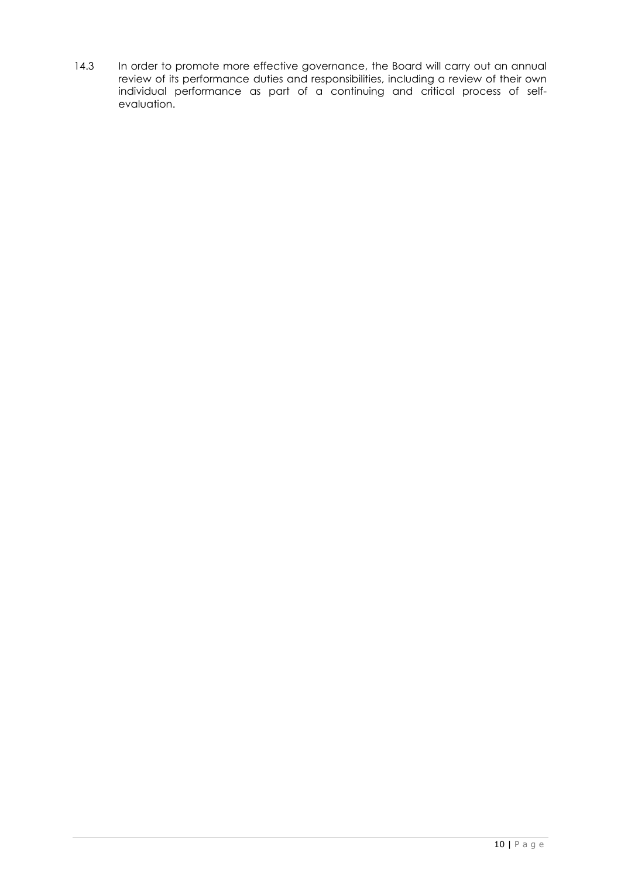14.3 In order to promote more effective governance, the Board will carry out an annual review of its performance duties and responsibilities, including a review of their own individual performance as part of a continuing and critical process of selfevaluation.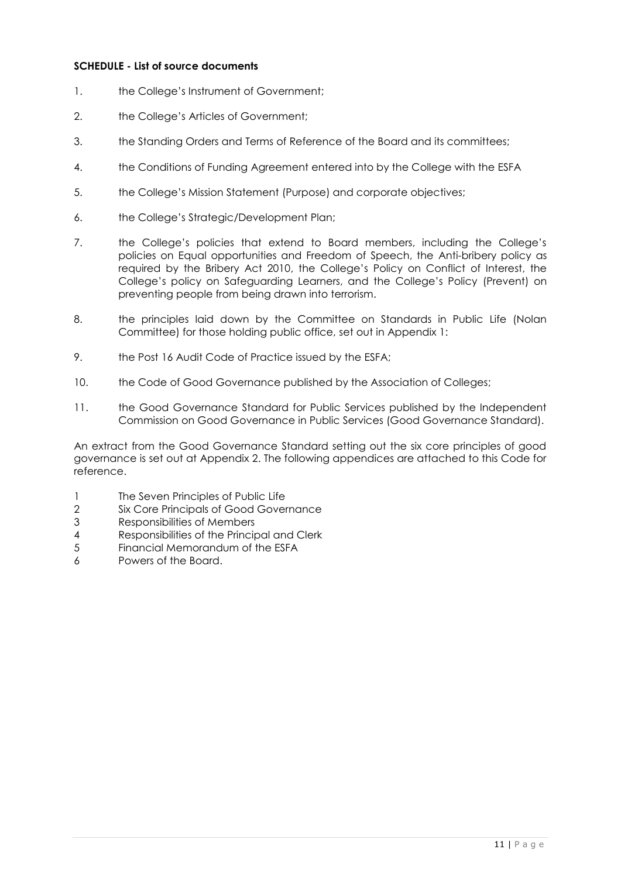## **SCHEDULE - List of source documents**

- 1. the College's Instrument of Government;
- 2. the College's Articles of Government;
- 3. the Standing Orders and Terms of Reference of the Board and its committees;
- 4. the Conditions of Funding Agreement entered into by the College with the ESFA
- 5. the College's Mission Statement (Purpose) and corporate objectives;
- 6. the College's Strategic/Development Plan;
- 7. the College's policies that extend to Board members, including the College's policies on Equal opportunities and Freedom of Speech, the Anti-bribery policy as required by the Bribery Act 2010, the College's Policy on Conflict of Interest, the College's policy on Safeguarding Learners, and the College's Policy (Prevent) on preventing people from being drawn into terrorism.
- 8. the principles laid down by the Committee on Standards in Public Life (Nolan Committee) for those holding public office, set out in Appendix 1:
- 9. the Post 16 Audit Code of Practice issued by the ESFA;
- 10. the Code of Good Governance published by the Association of Colleges;
- 11. the Good Governance Standard for Public Services published by the Independent Commission on Good Governance in Public Services (Good Governance Standard).

An extract from the Good Governance Standard setting out the six core principles of good governance is set out at Appendix 2. The following appendices are attached to this Code for reference.

- 1 The Seven Principles of Public Life
- 2 Six Core Principals of Good Governance
- 3 Responsibilities of Members
- 4 Responsibilities of the Principal and Clerk
- 5 Financial Memorandum of the ESFA
- 6 Powers of the Board.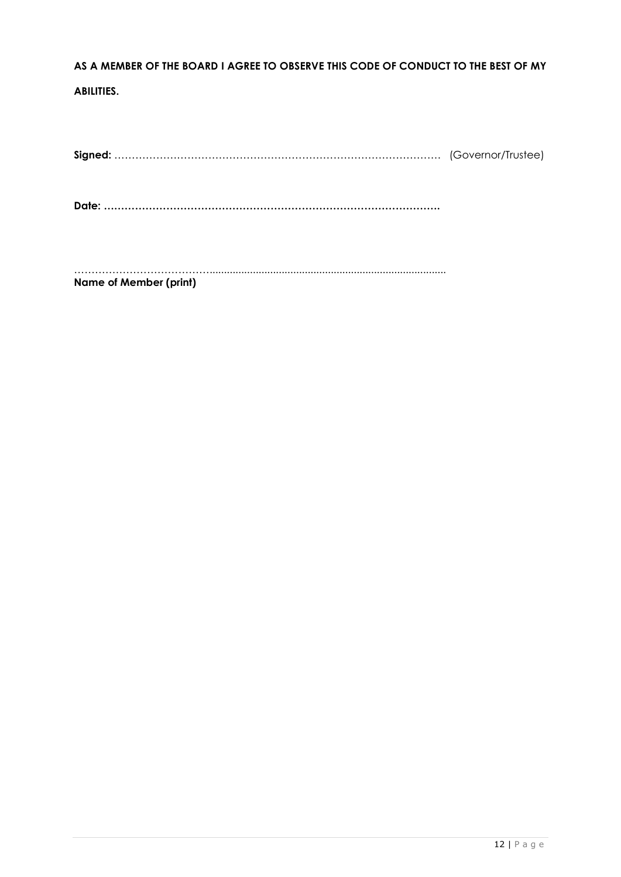# **AS A MEMBER OF THE BOARD I AGREE TO OBSERVE THIS CODE OF CONDUCT TO THE BEST OF MY**

## **ABILITIES.**

**Signed:** …………………………………………………………………………………. (Governor/Trustee)

**Date: …………………………………………………………………………………….**

…………………………………..................................................................................

**Name of Member (print)**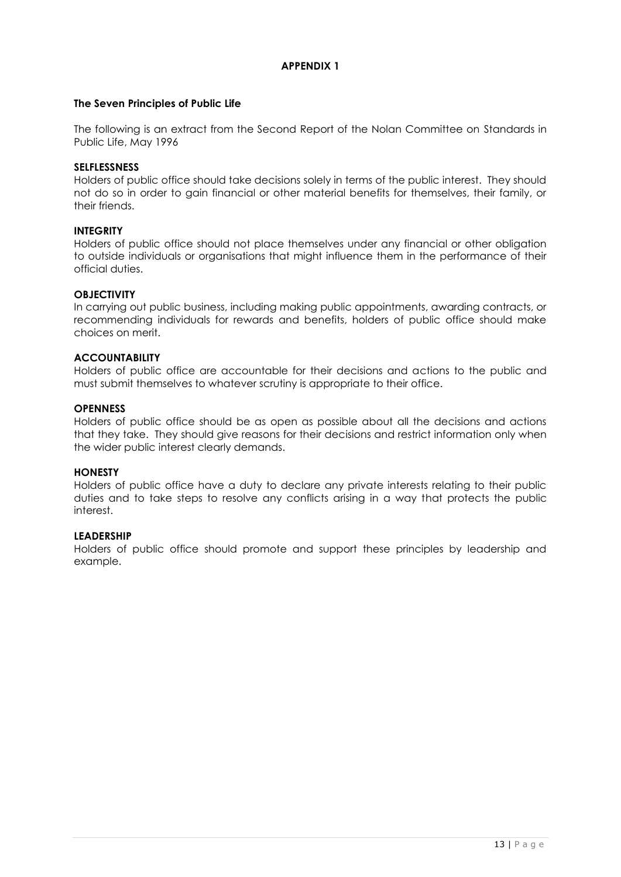## **The Seven Principles of Public Life**

The following is an extract from the Second Report of the Nolan Committee on Standards in Public Life, May 1996

#### **SELFLESSNESS**

Holders of public office should take decisions solely in terms of the public interest. They should not do so in order to gain financial or other material benefits for themselves, their family, or their friends.

#### **INTEGRITY**

Holders of public office should not place themselves under any financial or other obligation to outside individuals or organisations that might influence them in the performance of their official duties.

#### **OBJECTIVITY**

In carrying out public business, including making public appointments, awarding contracts, or recommending individuals for rewards and benefits, holders of public office should make choices on merit.

#### **ACCOUNTABILITY**

Holders of public office are accountable for their decisions and actions to the public and must submit themselves to whatever scrutiny is appropriate to their office.

#### **OPENNESS**

Holders of public office should be as open as possible about all the decisions and actions that they take. They should give reasons for their decisions and restrict information only when the wider public interest clearly demands.

#### **HONESTY**

Holders of public office have a duty to declare any private interests relating to their public duties and to take steps to resolve any conflicts arising in a way that protects the public interest.

#### **LEADERSHIP**

Holders of public office should promote and support these principles by leadership and example.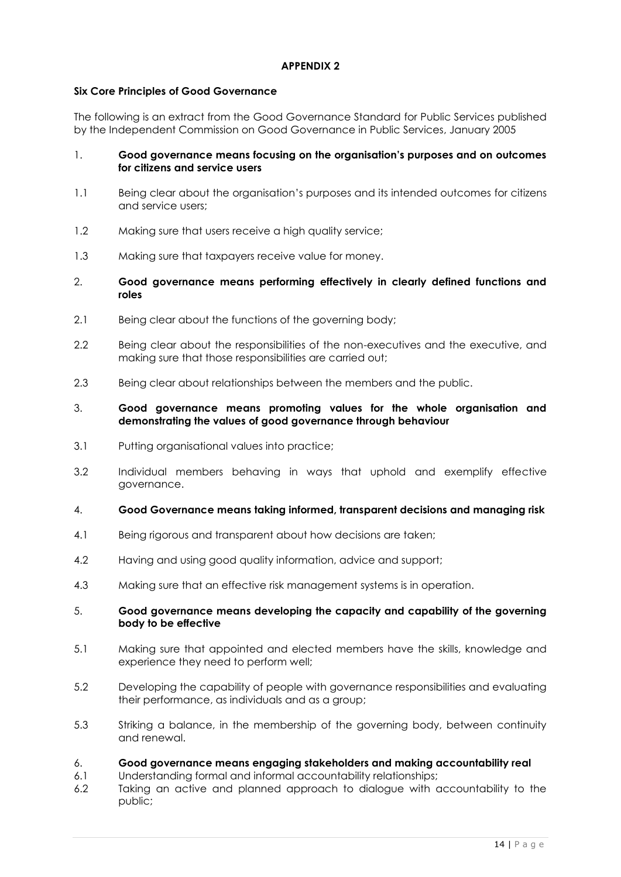## **Six Core Principles of Good Governance**

The following is an extract from the Good Governance Standard for Public Services published by the Independent Commission on Good Governance in Public Services, January 2005

## 1. **Good governance means focusing on the organisation's purposes and on outcomes for citizens and service users**

- 1.1 Being clear about the organisation's purposes and its intended outcomes for citizens and service users;
- 1.2 Making sure that users receive a high quality service;
- 1.3 Making sure that taxpayers receive value for money.
- 2. **Good governance means performing effectively in clearly defined functions and roles**
- 2.1 Being clear about the functions of the governing body;
- 2.2 Being clear about the responsibilities of the non-executives and the executive, and making sure that those responsibilities are carried out;
- 2.3 Being clear about relationships between the members and the public.

## 3. **Good governance means promoting values for the whole organisation and demonstrating the values of good governance through behaviour**

- 3.1 Putting organisational values into practice;
- 3.2 Individual members behaving in ways that uphold and exemplify effective governance.
- 4. **Good Governance means taking informed, transparent decisions and managing risk**
- 4.1 Being rigorous and transparent about how decisions are taken;
- 4.2 Having and using good quality information, advice and support;
- 4.3 Making sure that an effective risk management systems is in operation.

## 5. **Good governance means developing the capacity and capability of the governing body to be effective**

- 5.1 Making sure that appointed and elected members have the skills, knowledge and experience they need to perform well;
- 5.2 Developing the capability of people with governance responsibilities and evaluating their performance, as individuals and as a group;
- 5.3 Striking a balance, in the membership of the governing body, between continuity and renewal.

## 6. **Good governance means engaging stakeholders and making accountability real**

- 6.1 Understanding formal and informal accountability relationships;
- 6.2 Taking an active and planned approach to dialogue with accountability to the public;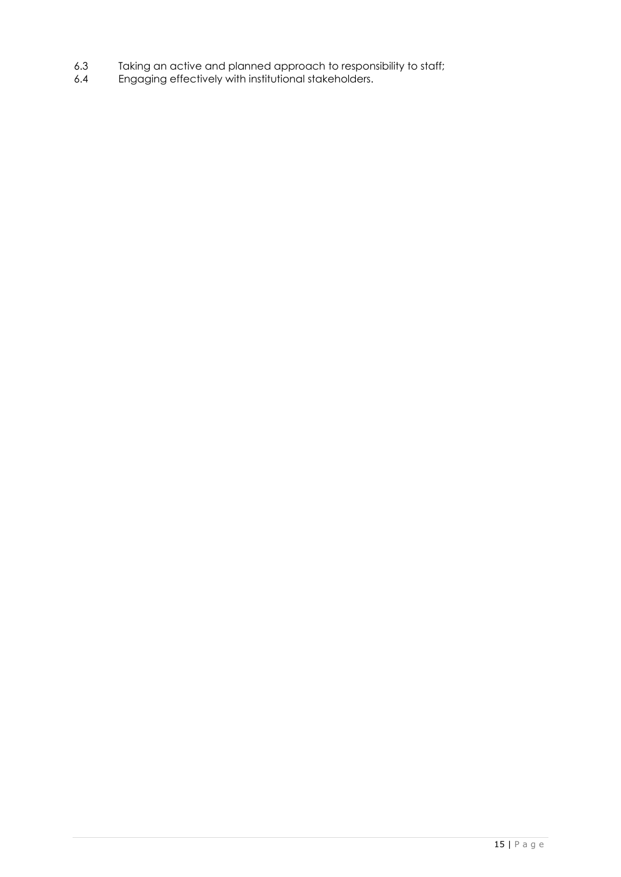- 6.3 Taking an active and planned approach to responsibility to staff;
- 6.4 Engaging effectively with institutional stakeholders.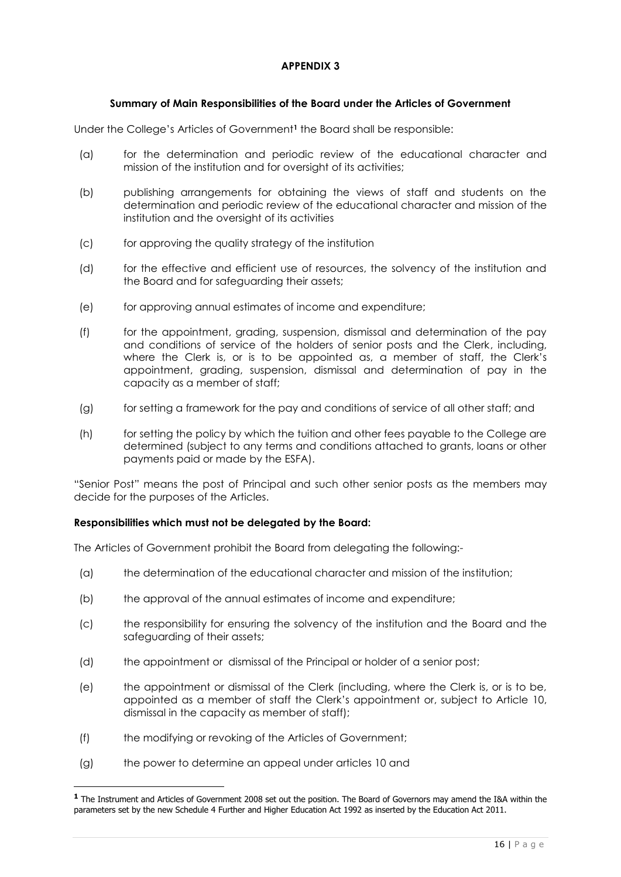## **Summary of Main Responsibilities of the Board under the Articles of Government**

Under the College's Articles of Government**<sup>1</sup>** the Board shall be responsible:

- (a) for the determination and periodic review of the educational character and mission of the institution and for oversight of its activities;
- (b) publishing arrangements for obtaining the views of staff and students on the determination and periodic review of the educational character and mission of the institution and the oversight of its activities
- (c) for approving the quality strategy of the institution
- (d) for the effective and efficient use of resources, the solvency of the institution and the Board and for safeguarding their assets;
- (e) for approving annual estimates of income and expenditure;
- (f) for the appointment, grading, suspension, dismissal and determination of the pay and conditions of service of the holders of senior posts and the Clerk, including, where the Clerk is, or is to be appointed as, a member of staff, the Clerk's appointment, grading, suspension, dismissal and determination of pay in the capacity as a member of staff;
- (g) for setting a framework for the pay and conditions of service of all other staff; and
- (h) for setting the policy by which the tuition and other fees payable to the College are determined (subject to any terms and conditions attached to grants, loans or other payments paid or made by the ESFA).

"Senior Post" means the post of Principal and such other senior posts as the members may decide for the purposes of the Articles.

## **Responsibilities which must not be delegated by the Board:**

The Articles of Government prohibit the Board from delegating the following:-

- (a) the determination of the educational character and mission of the institution;
- (b) the approval of the annual estimates of income and expenditure;
- (c) the responsibility for ensuring the solvency of the institution and the Board and the safeguarding of their assets;
- (d) the appointment or dismissal of the Principal or holder of a senior post;
- (e) the appointment or dismissal of the Clerk (including, where the Clerk is, or is to be, appointed as a member of staff the Clerk's appointment or, subject to Article 10, dismissal in the capacity as member of staff);
- (f) the modifying or revoking of the Articles of Government;
- (g) the power to determine an appeal under articles 10 and

-

**<sup>1</sup>** The Instrument and Articles of Government 2008 set out the position. The Board of Governors may amend the I&A within the parameters set by the new Schedule 4 Further and Higher Education Act 1992 as inserted by the Education Act 2011.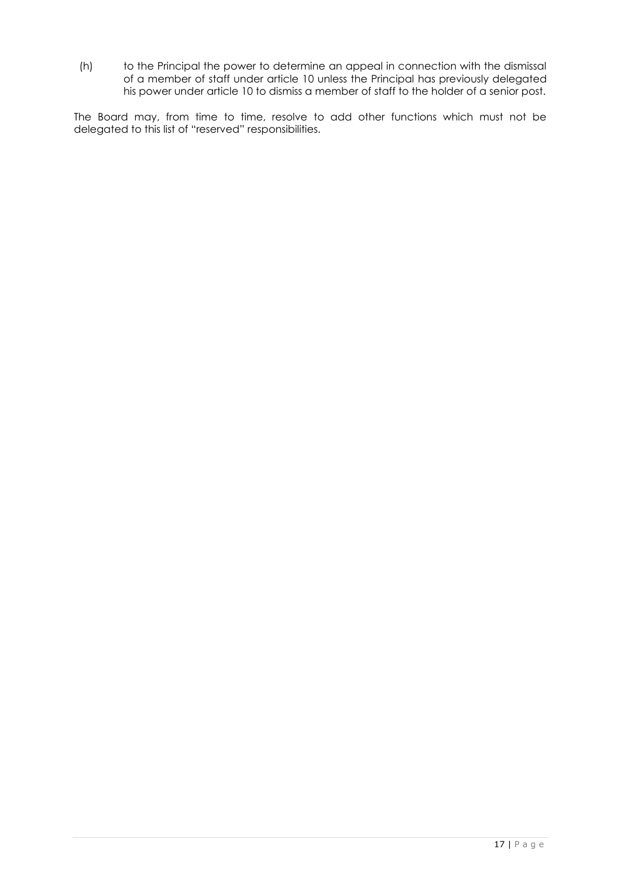(h) to the Principal the power to determine an appeal in connection with the dismissal of a member of staff under article 10 unless the Principal has previously delegated his power under article 10 to dismiss a member of staff to the holder of a senior post.

The Board may, from time to time, resolve to add other functions which must not be delegated to this list of "reserved" responsibilities.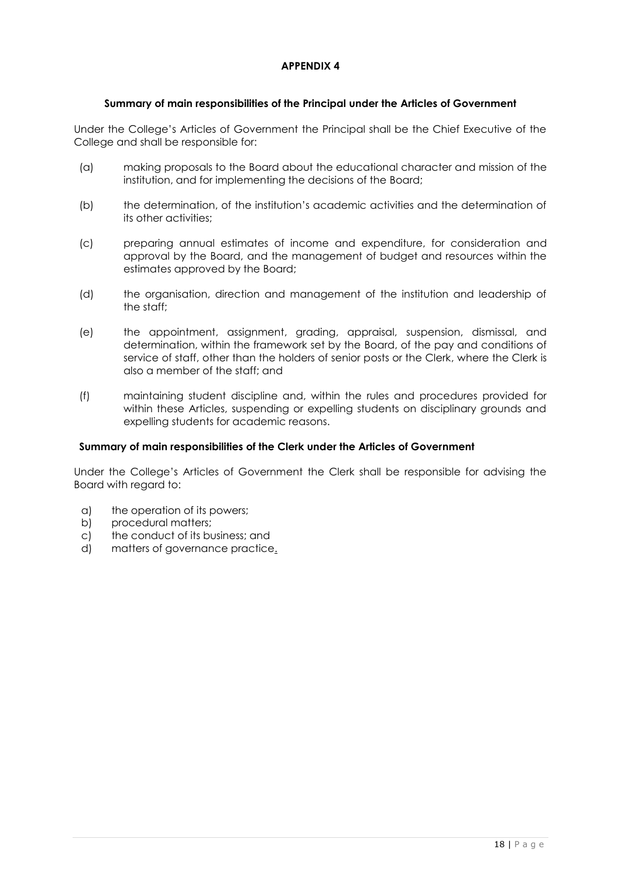## **Summary of main responsibilities of the Principal under the Articles of Government**

Under the College's Articles of Government the Principal shall be the Chief Executive of the College and shall be responsible for:

- (a) making proposals to the Board about the educational character and mission of the institution, and for implementing the decisions of the Board;
- (b) the determination, of the institution's academic activities and the determination of its other activities;
- (c) preparing annual estimates of income and expenditure, for consideration and approval by the Board, and the management of budget and resources within the estimates approved by the Board;
- (d) the organisation, direction and management of the institution and leadership of the staff;
- (e) the appointment, assignment, grading, appraisal, suspension, dismissal, and determination, within the framework set by the Board, of the pay and conditions of service of staff, other than the holders of senior posts or the Clerk, where the Clerk is also a member of the staff; and
- (f) maintaining student discipline and, within the rules and procedures provided for within these Articles, suspending or expelling students on disciplinary grounds and expelling students for academic reasons.

## **Summary of main responsibilities of the Clerk under the Articles of Government**

Under the College's Articles of Government the Clerk shall be responsible for advising the Board with regard to:

- a) the operation of its powers;
- b) procedural matters;
- c) the conduct of its business; and
- d) matters of governance practice.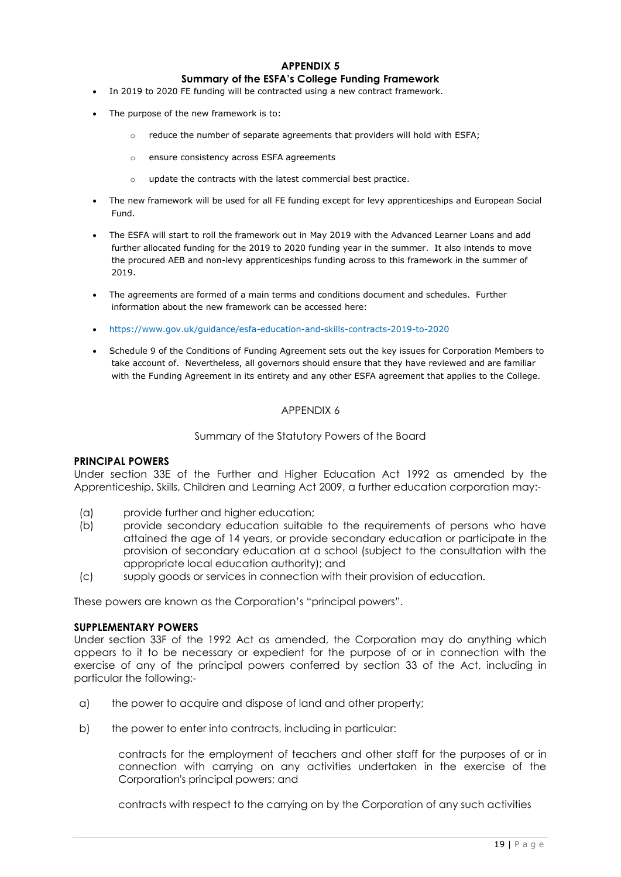#### **APPENDIX 5 Summary of the ESFA's College Funding Framework**

- In 2019 to 2020 FE funding will be contracted using a new contract framework.
- The purpose of the new framework is to:
	- o reduce the number of separate agreements that providers will hold with ESFA;
	- o ensure consistency across ESFA agreements
	- o update the contracts with the latest commercial best practice.
- The new framework will be used for all FE funding except for levy apprenticeships and European Social Fund.
- The ESFA will start to roll the framework out in May 2019 with the Advanced Learner Loans and add further allocated funding for the 2019 to 2020 funding year in the summer. It also intends to move the procured AEB and non-levy apprenticeships funding across to this framework in the summer of 2019.
- The agreements are formed of a main terms and conditions document and schedules. Further information about the new framework can be accessed here:
- <https://www.gov.uk/guidance/esfa-education-and-skills-contracts-2019-to-2020>
- Schedule 9 of the Conditions of Funding Agreement sets out the key issues for Corporation Members to take account of. Nevertheless, all governors should ensure that they have reviewed and are familiar with the Funding Agreement in its entirety and any other ESFA agreement that applies to the College.

### APPENDIX 6

#### Summary of the Statutory Powers of the Board

#### **PRINCIPAL POWERS**

Under section 33E of the Further and Higher Education Act 1992 as amended by the Apprenticeship, Skills, Children and Learning Act 2009, a further education corporation may:-

- (a) provide further and higher education;
- (b) provide secondary education suitable to the requirements of persons who have attained the age of 14 years, or provide secondary education or participate in the provision of secondary education at a school (subject to the consultation with the appropriate local education authority); and
- (c) supply goods or services in connection with their provision of education.

These powers are known as the Corporation's "principal powers".

#### **SUPPLEMENTARY POWERS**

Under section 33F of the 1992 Act as amended, the Corporation may do anything which appears to it to be necessary or expedient for the purpose of or in connection with the exercise of any of the principal powers conferred by section 33 of the Act, including in particular the following:-

- a) the power to acquire and dispose of land and other property;
- b) the power to enter into contracts, including in particular:

contracts for the employment of teachers and other staff for the purposes of or in connection with carrying on any activities undertaken in the exercise of the Corporation's principal powers; and

contracts with respect to the carrying on by the Corporation of any such activities